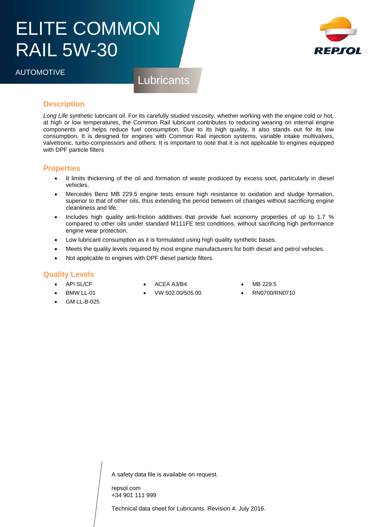# ELITE COMMON RAIL 5W-30



**Lubricants** 

## **Description**

*Long Life* synthetic lubricant oil. For its carefully studied viscosity, whether working with the engine cold or hot, at high or low temperatures, the Common Rail lubricant contributes to reducing wearing on internal engine components and helps reduce fuel consumption. Due to its high quality, it also stands out for its low consumption. It is designed for engines with Common Rail injection systems, variable intake multivalves, valvetronic, turbo-compressors and others. It is important to note that it is not applicable to engines equipped with DPF particle filters

### **Properties**

- It limits thickening of the oil and formation of waste produced by excess soot, particularly in diesel vehicles,
- Mercedes Benz MB 229.5 engine tests ensure high resistance to oxidation and sludge formation, superior to that of other oils, thus extending the period between oil changes without sacrificing engine cleanliness and life.
- Includes high quality anti-friction additives that provide fuel economy properties of up to 1.7 % compared to other oils under standard M111FE test conditions, without sacrificing high performance engine wear protection.
- Low lubricant consumption as it is formulated using high quality synthetic bases.
- Meets the quality levels required by most engine manufacturers for both diesel and petrol vehicles.
- Not applicable to engines with DPF diesel particle filters.

#### **Quality Levels**

- **API SL/CF**
- ACEA A3/B4
- MB 229.5
- RN0700/RN0710
- BMW LL-01 GM LL-B-025
- VW 502.00/505.00
- 

A safety data file is available on request.

repsol.com +34 901 111 999

Technical data sheet for Lubricants. Revision 4. July 2016.